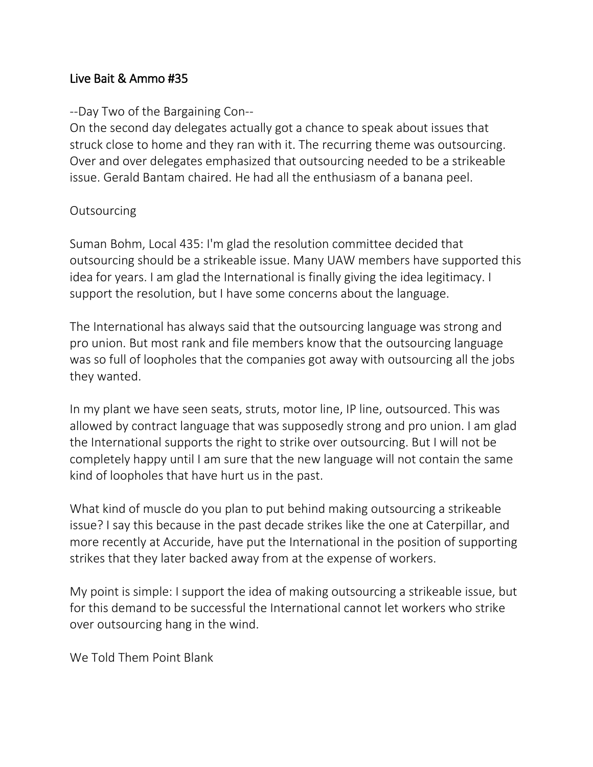## Live Bait & Ammo #35

## --Day Two of the Bargaining Con--

On the second day delegates actually got a chance to speak about issues that struck close to home and they ran with it. The recurring theme was outsourcing. Over and over delegates emphasized that outsourcing needed to be a strikeable issue. Gerald Bantam chaired. He had all the enthusiasm of a banana peel.

## **Outsourcing**

Suman Bohm, Local 435: I'm glad the resolution committee decided that outsourcing should be a strikeable issue. Many UAW members have supported this idea for years. I am glad the International is finally giving the idea legitimacy. I support the resolution, but I have some concerns about the language.

The International has always said that the outsourcing language was strong and pro union. But most rank and file members know that the outsourcing language was so full of loopholes that the companies got away with outsourcing all the jobs they wanted.

In my plant we have seen seats, struts, motor line, IP line, outsourced. This was allowed by contract language that was supposedly strong and pro union. I am glad the International supports the right to strike over outsourcing. But I will not be completely happy until I am sure that the new language will not contain the same kind of loopholes that have hurt us in the past.

What kind of muscle do you plan to put behind making outsourcing a strikeable issue? I say this because in the past decade strikes like the one at Caterpillar, and more recently at Accuride, have put the International in the position of supporting strikes that they later backed away from at the expense of workers.

My point is simple: I support the idea of making outsourcing a strikeable issue, but for this demand to be successful the International cannot let workers who strike over outsourcing hang in the wind.

We Told Them Point Blank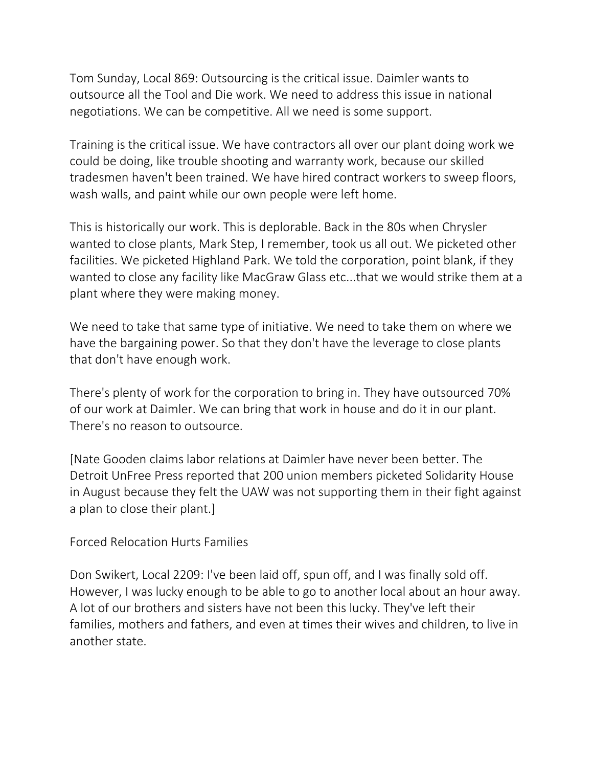Tom Sunday, Local 869: Outsourcing is the critical issue. Daimler wants to outsource all the Tool and Die work. We need to address this issue in national negotiations. We can be competitive. All we need is some support.

Training is the critical issue. We have contractors all over our plant doing work we could be doing, like trouble shooting and warranty work, because our skilled tradesmen haven't been trained. We have hired contract workers to sweep floors, wash walls, and paint while our own people were left home.

This is historically our work. This is deplorable. Back in the 80s when Chrysler wanted to close plants, Mark Step, I remember, took us all out. We picketed other facilities. We picketed Highland Park. We told the corporation, point blank, if they wanted to close any facility like MacGraw Glass etc...that we would strike them at a plant where they were making money.

We need to take that same type of initiative. We need to take them on where we have the bargaining power. So that they don't have the leverage to close plants that don't have enough work.

There's plenty of work for the corporation to bring in. They have outsourced 70% of our work at Daimler. We can bring that work in house and do it in our plant. There's no reason to outsource.

[Nate Gooden claims labor relations at Daimler have never been better. The Detroit UnFree Press reported that 200 union members picketed Solidarity House in August because they felt the UAW was not supporting them in their fight against a plan to close their plant.]

Forced Relocation Hurts Families

Don Swikert, Local 2209: I've been laid off, spun off, and I was finally sold off. However, I was lucky enough to be able to go to another local about an hour away. A lot of our brothers and sisters have not been this lucky. They've left their families, mothers and fathers, and even at times their wives and children, to live in another state.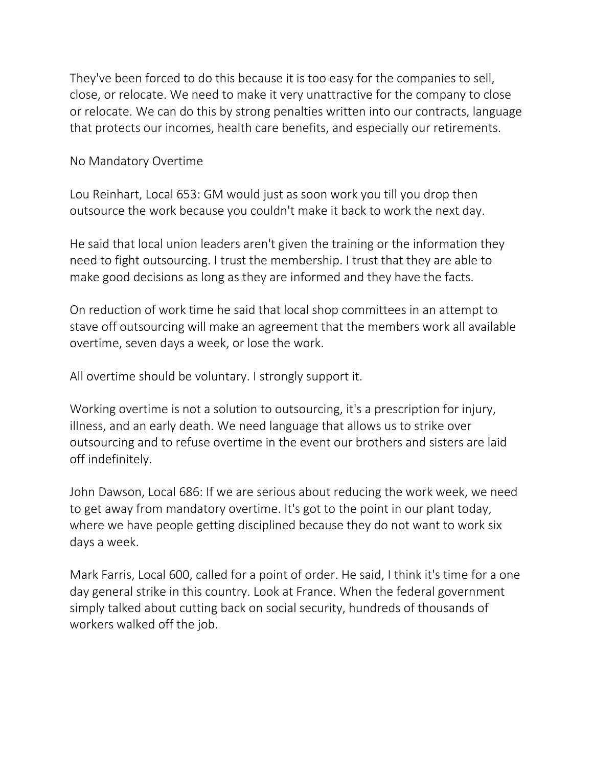They've been forced to do this because it is too easy for the companies to sell, close, or relocate. We need to make it very unattractive for the company to close or relocate. We can do this by strong penalties written into our contracts, language that protects our incomes, health care benefits, and especially our retirements.

No Mandatory Overtime

Lou Reinhart, Local 653: GM would just as soon work you till you drop then outsource the work because you couldn't make it back to work the next day.

He said that local union leaders aren't given the training or the information they need to fight outsourcing. I trust the membership. I trust that they are able to make good decisions as long as they are informed and they have the facts.

On reduction of work time he said that local shop committees in an attempt to stave off outsourcing will make an agreement that the members work all available overtime, seven days a week, or lose the work.

All overtime should be voluntary. I strongly support it.

Working overtime is not a solution to outsourcing, it's a prescription for injury, illness, and an early death. We need language that allows us to strike over outsourcing and to refuse overtime in the event our brothers and sisters are laid off indefinitely.

John Dawson, Local 686: If we are serious about reducing the work week, we need to get away from mandatory overtime. It's got to the point in our plant today, where we have people getting disciplined because they do not want to work six days a week.

Mark Farris, Local 600, called for a point of order. He said, I think it's time for a one day general strike in this country. Look at France. When the federal government simply talked about cutting back on social security, hundreds of thousands of workers walked off the job.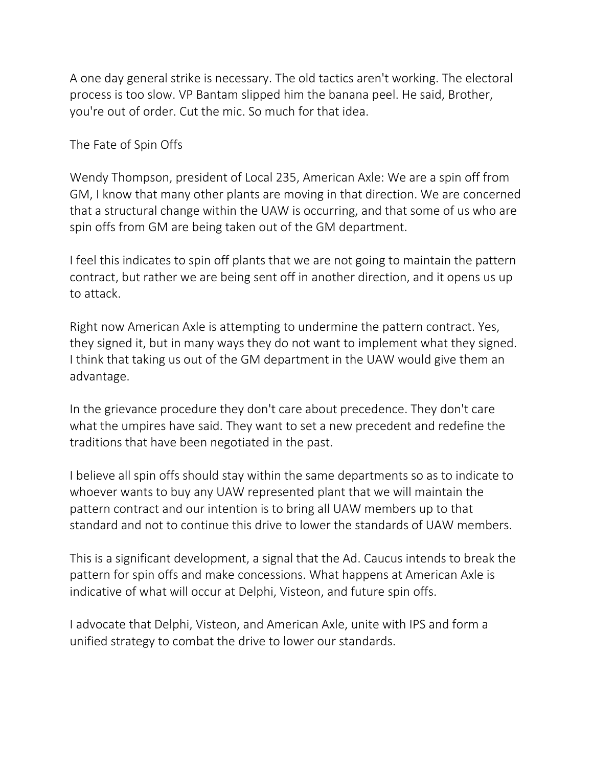A one day general strike is necessary. The old tactics aren't working. The electoral process is too slow. VP Bantam slipped him the banana peel. He said, Brother, you're out of order. Cut the mic. So much for that idea.

The Fate of Spin Offs

Wendy Thompson, president of Local 235, American Axle: We are a spin off from GM, I know that many other plants are moving in that direction. We are concerned that a structural change within the UAW is occurring, and that some of us who are spin offs from GM are being taken out of the GM department.

I feel this indicates to spin off plants that we are not going to maintain the pattern contract, but rather we are being sent off in another direction, and it opens us up to attack.

Right now American Axle is attempting to undermine the pattern contract. Yes, they signed it, but in many ways they do not want to implement what they signed. I think that taking us out of the GM department in the UAW would give them an advantage.

In the grievance procedure they don't care about precedence. They don't care what the umpires have said. They want to set a new precedent and redefine the traditions that have been negotiated in the past.

I believe all spin offs should stay within the same departments so as to indicate to whoever wants to buy any UAW represented plant that we will maintain the pattern contract and our intention is to bring all UAW members up to that standard and not to continue this drive to lower the standards of UAW members.

This is a significant development, a signal that the Ad. Caucus intends to break the pattern for spin offs and make concessions. What happens at American Axle is indicative of what will occur at Delphi, Visteon, and future spin offs.

I advocate that Delphi, Visteon, and American Axle, unite with IPS and form a unified strategy to combat the drive to lower our standards.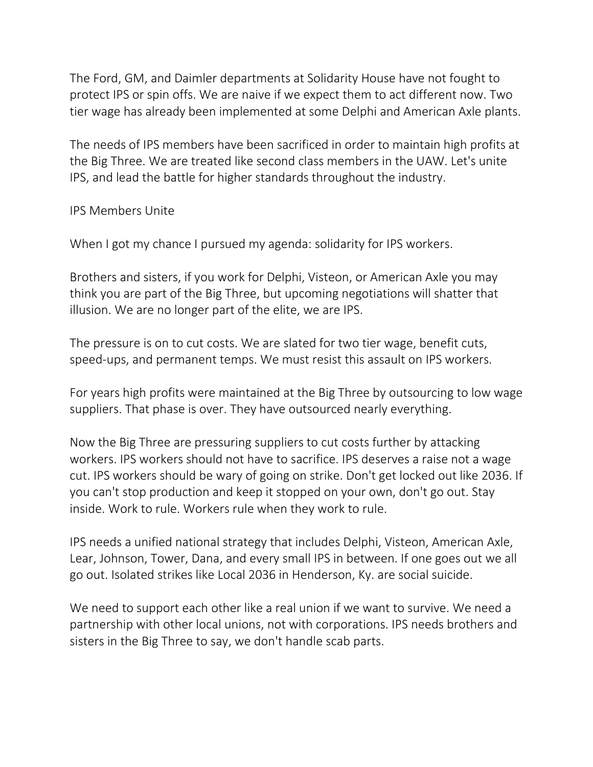The Ford, GM, and Daimler departments at Solidarity House have not fought to protect IPS or spin offs. We are naive if we expect them to act different now. Two tier wage has already been implemented at some Delphi and American Axle plants.

The needs of IPS members have been sacrificed in order to maintain high profits at the Big Three. We are treated like second class members in the UAW. Let's unite IPS, and lead the battle for higher standards throughout the industry.

IPS Members Unite

When I got my chance I pursued my agenda: solidarity for IPS workers.

Brothers and sisters, if you work for Delphi, Visteon, or American Axle you may think you are part of the Big Three, but upcoming negotiations will shatter that illusion. We are no longer part of the elite, we are IPS.

The pressure is on to cut costs. We are slated for two tier wage, benefit cuts, speed-ups, and permanent temps. We must resist this assault on IPS workers.

For years high profits were maintained at the Big Three by outsourcing to low wage suppliers. That phase is over. They have outsourced nearly everything.

Now the Big Three are pressuring suppliers to cut costs further by attacking workers. IPS workers should not have to sacrifice. IPS deserves a raise not a wage cut. IPS workers should be wary of going on strike. Don't get locked out like 2036. If you can't stop production and keep it stopped on your own, don't go out. Stay inside. Work to rule. Workers rule when they work to rule.

IPS needs a unified national strategy that includes Delphi, Visteon, American Axle, Lear, Johnson, Tower, Dana, and every small IPS in between. If one goes out we all go out. Isolated strikes like Local 2036 in Henderson, Ky. are social suicide.

We need to support each other like a real union if we want to survive. We need a partnership with other local unions, not with corporations. IPS needs brothers and sisters in the Big Three to say, we don't handle scab parts.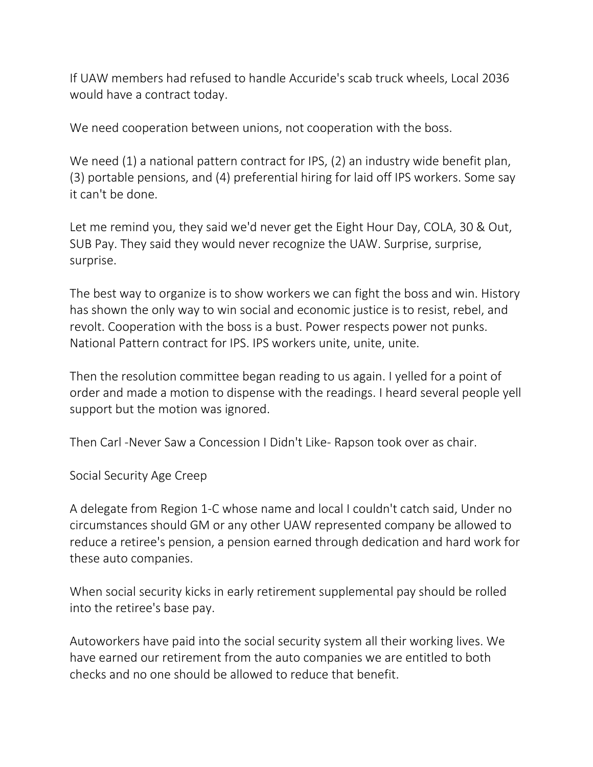If UAW members had refused to handle Accuride's scab truck wheels, Local 2036 would have a contract today.

We need cooperation between unions, not cooperation with the boss.

We need (1) a national pattern contract for IPS, (2) an industry wide benefit plan, (3) portable pensions, and (4) preferential hiring for laid off IPS workers. Some say it can't be done.

Let me remind you, they said we'd never get the Eight Hour Day, COLA, 30 & Out, SUB Pay. They said they would never recognize the UAW. Surprise, surprise, surprise.

The best way to organize is to show workers we can fight the boss and win. History has shown the only way to win social and economic justice is to resist, rebel, and revolt. Cooperation with the boss is a bust. Power respects power not punks. National Pattern contract for IPS. IPS workers unite, unite, unite.

Then the resolution committee began reading to us again. I yelled for a point of order and made a motion to dispense with the readings. I heard several people yell support but the motion was ignored.

Then Carl -Never Saw a Concession I Didn't Like- Rapson took over as chair.

Social Security Age Creep

A delegate from Region 1-C whose name and local I couldn't catch said, Under no circumstances should GM or any other UAW represented company be allowed to reduce a retiree's pension, a pension earned through dedication and hard work for these auto companies.

When social security kicks in early retirement supplemental pay should be rolled into the retiree's base pay.

Autoworkers have paid into the social security system all their working lives. We have earned our retirement from the auto companies we are entitled to both checks and no one should be allowed to reduce that benefit.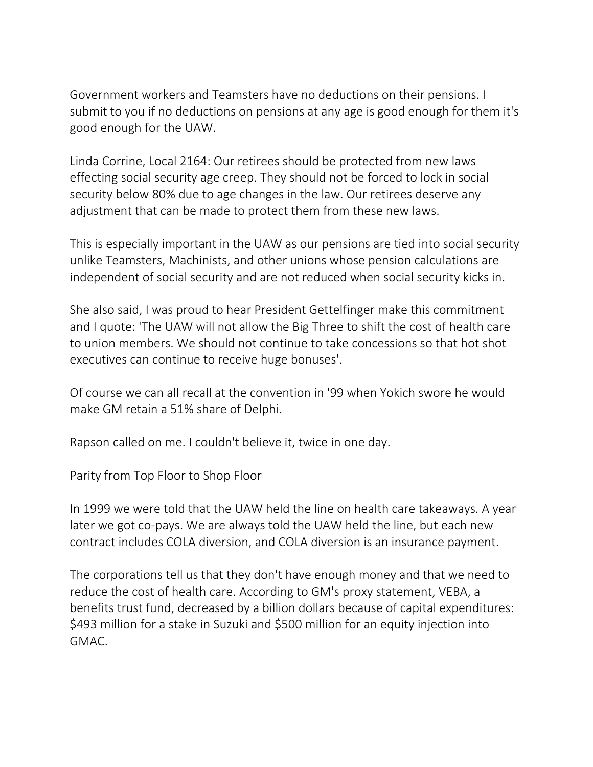Government workers and Teamsters have no deductions on their pensions. I submit to you if no deductions on pensions at any age is good enough for them it's good enough for the UAW.

Linda Corrine, Local 2164: Our retirees should be protected from new laws effecting social security age creep. They should not be forced to lock in social security below 80% due to age changes in the law. Our retirees deserve any adjustment that can be made to protect them from these new laws.

This is especially important in the UAW as our pensions are tied into social security unlike Teamsters, Machinists, and other unions whose pension calculations are independent of social security and are not reduced when social security kicks in.

She also said, I was proud to hear President Gettelfinger make this commitment and I quote: 'The UAW will not allow the Big Three to shift the cost of health care to union members. We should not continue to take concessions so that hot shot executives can continue to receive huge bonuses'.

Of course we can all recall at the convention in '99 when Yokich swore he would make GM retain a 51% share of Delphi.

Rapson called on me. I couldn't believe it, twice in one day.

Parity from Top Floor to Shop Floor

In 1999 we were told that the UAW held the line on health care takeaways. A year later we got co-pays. We are always told the UAW held the line, but each new contract includes COLA diversion, and COLA diversion is an insurance payment.

The corporations tell us that they don't have enough money and that we need to reduce the cost of health care. According to GM's proxy statement, VEBA, a benefits trust fund, decreased by a billion dollars because of capital expenditures: \$493 million for a stake in Suzuki and \$500 million for an equity injection into GMAC.